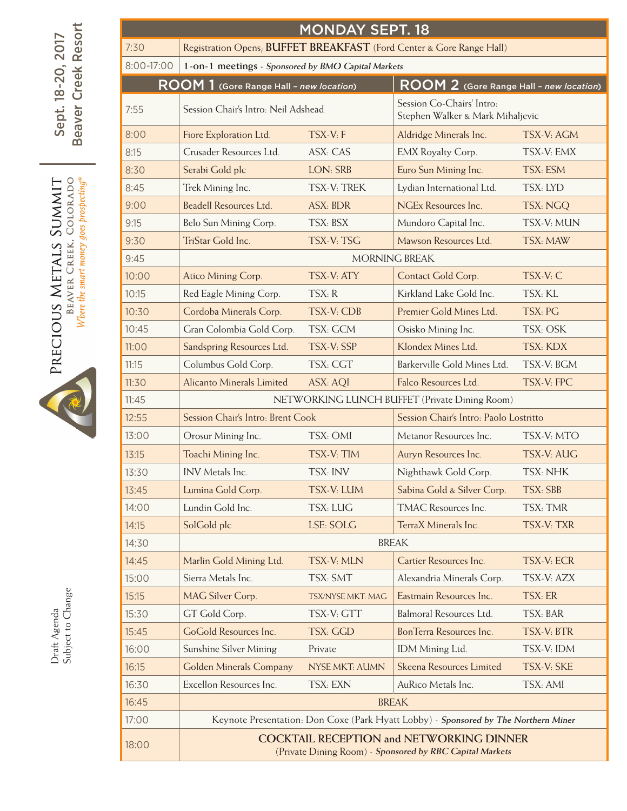|                                                                                                                                                                                                                                | <b>MONDAY SEPT. 18</b>                                                       |                                                                                                             |                                               |                                                               |            |  |  |  |  |  |
|--------------------------------------------------------------------------------------------------------------------------------------------------------------------------------------------------------------------------------|------------------------------------------------------------------------------|-------------------------------------------------------------------------------------------------------------|-----------------------------------------------|---------------------------------------------------------------|------------|--|--|--|--|--|
|                                                                                                                                                                                                                                | Registration Opens; BUFFET BREAKFAST (Ford Center & Gore Range Hall)<br>7:30 |                                                                                                             |                                               |                                                               |            |  |  |  |  |  |
|                                                                                                                                                                                                                                | 8:00-17:00                                                                   | 1-on-1 meetings - Sponsored by BMO Capital Markets                                                          |                                               |                                                               |            |  |  |  |  |  |
|                                                                                                                                                                                                                                |                                                                              | ROOM 1 (Gore Range Hall - new location)                                                                     |                                               | ROOM 2 (Gore Range Hall - new location)                       |            |  |  |  |  |  |
|                                                                                                                                                                                                                                | 7:55                                                                         | Session Chair's Intro: Neil Adshead                                                                         |                                               | Session Co-Chairs' Intro:<br>Stephen Walker & Mark Mihaljevic |            |  |  |  |  |  |
| <b>Creek Resort</b><br>Sept. 18-20, 2017<br>eaver<br>$\overline{\mathbf{c}}$<br>Where the smart money goes prospecting®<br>BEAVER CREEK, COLORADO<br><b>TIMMITS</b><br>METALS<br>PRECIOUS<br>Subject to Change<br>Draft Agenda | 8:00                                                                         | Fiore Exploration Ltd.                                                                                      | TSX-V: F                                      | Aldridge Minerals Inc.                                        | TSX-V: AGM |  |  |  |  |  |
|                                                                                                                                                                                                                                | 8:15                                                                         | Crusader Resources Ltd.                                                                                     | ASX: CAS                                      | <b>EMX Royalty Corp.</b>                                      | TSX-V: EMX |  |  |  |  |  |
|                                                                                                                                                                                                                                | 8:30                                                                         | Serabi Gold plc                                                                                             | LON: SRB                                      | Euro Sun Mining Inc.                                          | TSX: ESM   |  |  |  |  |  |
|                                                                                                                                                                                                                                | 8:45                                                                         | Trek Mining Inc.                                                                                            | TSX-V: TREK                                   | Lydian International Ltd.                                     | TSX: LYD   |  |  |  |  |  |
|                                                                                                                                                                                                                                | 9:00                                                                         | Beadell Resources Ltd.                                                                                      | <b>ASX: BDR</b>                               | NGEx Resources Inc.                                           | TSX: NGQ   |  |  |  |  |  |
|                                                                                                                                                                                                                                | 9:15                                                                         | Belo Sun Mining Corp.                                                                                       | TSX: BSX                                      | Mundoro Capital Inc.                                          | TSX-V: MUN |  |  |  |  |  |
|                                                                                                                                                                                                                                | 9:30                                                                         | TriStar Gold Inc.                                                                                           | TSX-V: TSG                                    | Mawson Resources Ltd.                                         | TSX: MAW   |  |  |  |  |  |
|                                                                                                                                                                                                                                | 9:45                                                                         |                                                                                                             | MORNING BREAK                                 |                                                               |            |  |  |  |  |  |
|                                                                                                                                                                                                                                | 10:00                                                                        | Atico Mining Corp.                                                                                          | TSX-V: ATY                                    | Contact Gold Corp.                                            | TSX-V: C   |  |  |  |  |  |
|                                                                                                                                                                                                                                | 10:15                                                                        | Red Eagle Mining Corp.                                                                                      | TSX: R                                        | Kirkland Lake Gold Inc.                                       | TSX: KL    |  |  |  |  |  |
|                                                                                                                                                                                                                                | 10:30                                                                        | Cordoba Minerals Corp.                                                                                      | TSX-V: CDB                                    | Premier Gold Mines Ltd.                                       | TSX: PG    |  |  |  |  |  |
|                                                                                                                                                                                                                                | 10:45                                                                        | Gran Colombia Gold Corp.                                                                                    | TSX: GCM                                      | Osisko Mining Inc.                                            | TSX: OSK   |  |  |  |  |  |
|                                                                                                                                                                                                                                | 11:00                                                                        | Sandspring Resources Ltd.                                                                                   | TSX-V: SSP                                    | Klondex Mines Ltd.                                            | TSX: KDX   |  |  |  |  |  |
|                                                                                                                                                                                                                                | 11:15                                                                        | Columbus Gold Corp.                                                                                         | TSX: CGT                                      | Barkerville Gold Mines Ltd.                                   | TSX-V: BGM |  |  |  |  |  |
|                                                                                                                                                                                                                                | 11:30                                                                        | Alicanto Minerals Limited                                                                                   | ASX: AQI                                      | Falco Resources Ltd.                                          | TSX-V: FPC |  |  |  |  |  |
|                                                                                                                                                                                                                                | 11:45                                                                        |                                                                                                             | NETWORKING LUNCH BUFFET (Private Dining Room) |                                                               |            |  |  |  |  |  |
|                                                                                                                                                                                                                                | 12:55                                                                        | Session Chair's Intro: Brent Cook                                                                           |                                               | Session Chair's Intro: Paolo Lostritto                        |            |  |  |  |  |  |
|                                                                                                                                                                                                                                | 13:00                                                                        | Orosur Mining Inc.                                                                                          | TSX: OMI                                      | Metanor Resources Inc.                                        | TSX-V: MTO |  |  |  |  |  |
|                                                                                                                                                                                                                                | 13:15                                                                        | Toachi Mining Inc.                                                                                          | TSX-V: TIM                                    | Auryn Resources Inc.                                          | TSX-V: AUG |  |  |  |  |  |
|                                                                                                                                                                                                                                | 13:30                                                                        | INV Metals Inc.                                                                                             | TSX: INV                                      | Nighthawk Gold Corp.                                          | TSX: NHK   |  |  |  |  |  |
|                                                                                                                                                                                                                                | 13:45                                                                        | Lumina Gold Corp.                                                                                           | TSX-V: LUM                                    | Sabina Gold & Silver Corp.                                    | TSX: SBB   |  |  |  |  |  |
|                                                                                                                                                                                                                                | 14:00                                                                        | Lundin Gold Inc.                                                                                            | TSX: LUG                                      | TMAC Resources Inc.                                           | TSX: TMR   |  |  |  |  |  |
|                                                                                                                                                                                                                                | 14:15                                                                        | SolGold plc                                                                                                 | LSE: SOLG                                     | TerraX Minerals Inc.                                          | TSX-V: TXR |  |  |  |  |  |
|                                                                                                                                                                                                                                | 14:30                                                                        |                                                                                                             |                                               |                                                               |            |  |  |  |  |  |
|                                                                                                                                                                                                                                | 14:45                                                                        | Marlin Gold Mining Ltd.                                                                                     | TSX-V: MLN                                    | Cartier Resources Inc.                                        | TSX-V: ECR |  |  |  |  |  |
|                                                                                                                                                                                                                                | 15:00                                                                        | Sierra Metals Inc.                                                                                          | TSX: SMT                                      | Alexandria Minerals Corp.                                     | TSX-V: AZX |  |  |  |  |  |
|                                                                                                                                                                                                                                | 15:15                                                                        | MAG Silver Corp.                                                                                            | TSX/NYSE MKT: MAG                             | Eastmain Resources Inc.                                       | TSX: ER    |  |  |  |  |  |
|                                                                                                                                                                                                                                | 15:30                                                                        | GT Gold Corp.                                                                                               | TSX-V: GTT                                    | Balmoral Resources Ltd.                                       | TSX: BAR   |  |  |  |  |  |
|                                                                                                                                                                                                                                | 15:45                                                                        | GoGold Resources Inc.                                                                                       | TSX: GGD                                      | BonTerra Resources Inc.                                       | TSX-V: BTR |  |  |  |  |  |
|                                                                                                                                                                                                                                | 16:00                                                                        | Sunshine Silver Mining                                                                                      | Private                                       | IDM Mining Ltd.                                               | TSX-V: IDM |  |  |  |  |  |
|                                                                                                                                                                                                                                | 16:15                                                                        | <b>Golden Minerals Company</b>                                                                              | NYSE MKT: AUMN                                | Skeena Resources Limited                                      | TSX-V: SKE |  |  |  |  |  |
|                                                                                                                                                                                                                                | 16:30                                                                        | Excellon Resources Inc.                                                                                     | TSX: EXN                                      | AuRico Metals Inc.                                            | TSX: AMI   |  |  |  |  |  |
|                                                                                                                                                                                                                                | 16:45                                                                        | <b>BREAK</b>                                                                                                |                                               |                                                               |            |  |  |  |  |  |
|                                                                                                                                                                                                                                | 17:00                                                                        | Keynote Presentation: Don Coxe (Park Hyatt Lobby) - Sponsored by The Northern Miner                         |                                               |                                                               |            |  |  |  |  |  |
|                                                                                                                                                                                                                                | 18:00                                                                        | <b>COCKTAIL RECEPTION and NETWORKING DINNER</b><br>(Private Dining Room) - Sponsored by RBC Capital Markets |                                               |                                                               |            |  |  |  |  |  |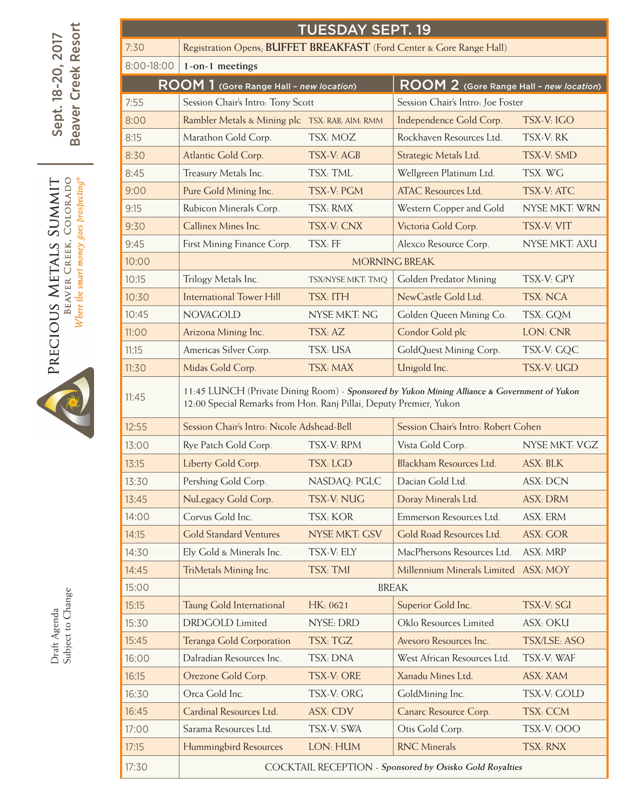|                                                                              | <b>TUESDAY SEPT. 19</b>                                                      |                                                                                                                                                                    |                      |                                         |                     |  |  |  |  |  |
|------------------------------------------------------------------------------|------------------------------------------------------------------------------|--------------------------------------------------------------------------------------------------------------------------------------------------------------------|----------------------|-----------------------------------------|---------------------|--|--|--|--|--|
| Resort                                                                       | Registration Opens; BUFFET BREAKFAST (Ford Center & Gore Range Hall)<br>7:30 |                                                                                                                                                                    |                      |                                         |                     |  |  |  |  |  |
|                                                                              | 8:00-18:00                                                                   | 1-on-1 meetings                                                                                                                                                    |                      |                                         |                     |  |  |  |  |  |
| Sept. 18-20, 2017<br>Creek                                                   |                                                                              | ROOM 1 (Gore Range Hall - new location)                                                                                                                            |                      | ROOM 2 (Gore Range Hall - new location) |                     |  |  |  |  |  |
|                                                                              | 7:55                                                                         | Session Chair's Intro: Tony Scott                                                                                                                                  |                      | Session Chair's Intro: Joe Foster       |                     |  |  |  |  |  |
| eaver                                                                        | 8:00                                                                         | Rambler Metals & Mining plc TSX: RAB; AIM: RMM                                                                                                                     |                      | Independence Gold Corp.                 | TSX-V: IGO          |  |  |  |  |  |
| $\mathbf{m}$                                                                 | 8:15                                                                         | Marathon Gold Corp.                                                                                                                                                | TSX: MOZ             | Rockhaven Resources Ltd.                | TSX-V: RK           |  |  |  |  |  |
|                                                                              | 8:30                                                                         | Atlantic Gold Corp.                                                                                                                                                | TSX-V: AGB           | Strategic Metals Ltd.                   | TSX-V: SMD          |  |  |  |  |  |
|                                                                              | 8:45                                                                         | Treasury Metals Inc.                                                                                                                                               | TSX: TML             | Wellgreen Platinum Ltd.                 | TSX: WG             |  |  |  |  |  |
| Where the smart money goes prospecting®<br>CREEK, COLORADO<br><b>TIMMITS</b> | 9:00                                                                         | Pure Gold Mining Inc.                                                                                                                                              | TSX-V: PGM           | <b>ATAC Resources Ltd.</b>              | TSX-V: ATC          |  |  |  |  |  |
|                                                                              | 9:15                                                                         | Rubicon Minerals Corp.                                                                                                                                             | TSX: RMX             | Western Copper and Gold                 | NYSE MKT: WRN       |  |  |  |  |  |
|                                                                              | 9:30                                                                         | Callinex Mines Inc.                                                                                                                                                | TSX-V: CNX           | Victoria Gold Corp.                     | TSX-V: VIT          |  |  |  |  |  |
|                                                                              | 9:45                                                                         | First Mining Finance Corp.                                                                                                                                         | TSX: FF              | Alexco Resource Corp.                   | NYSE MKT: AXU       |  |  |  |  |  |
| METALS                                                                       | 10:00                                                                        |                                                                                                                                                                    | <b>MORNING BREAK</b> |                                         |                     |  |  |  |  |  |
|                                                                              | 10:15                                                                        | Trilogy Metals Inc.                                                                                                                                                | TSX/NYSE MKT: TMQ    | Golden Predator Mining                  | TSX-V: GPY          |  |  |  |  |  |
| <b>BEAVER</b>                                                                | 10:30                                                                        | <b>International Tower Hill</b>                                                                                                                                    | TSX: ITH             | NewCastle Gold Ltd.                     | TSX: NCA            |  |  |  |  |  |
|                                                                              | 10:45                                                                        | <b>NOVAGOLD</b>                                                                                                                                                    | NYSE MKT: NG         | Golden Queen Mining Co.                 | TSX: GQM            |  |  |  |  |  |
|                                                                              | 11:00                                                                        | Arizona Mining Inc.                                                                                                                                                | TSX: AZ              | Condor Gold plc                         | LON: CNR            |  |  |  |  |  |
|                                                                              | 11:15                                                                        | Americas Silver Corp.                                                                                                                                              | TSX: USA             | GoldQuest Mining Corp.                  | TSX-V: GQC          |  |  |  |  |  |
| PRECIOUS                                                                     | 11:30                                                                        | Midas Gold Corp.                                                                                                                                                   | TSX: MAX             | Unigold Inc.                            | TSX-V: UGD          |  |  |  |  |  |
|                                                                              | 11:45                                                                        | 11:45 LUNCH (Private Dining Room) - Sponsored by Yukon Mining Alliance & Government of Yukon<br>12:00 Special Remarks from Hon. Ranj Pillai, Deputy Premier, Yukon |                      |                                         |                     |  |  |  |  |  |
|                                                                              | 12:55                                                                        | Session Chair's Intro: Nicole Adshead-Bell                                                                                                                         |                      | Session Chair's Intro: Robert Cohen     |                     |  |  |  |  |  |
|                                                                              | 13:00                                                                        | Rye Patch Gold Corp.                                                                                                                                               | TSX-V: RPM           | Vista Gold Corp.                        | NYSE MKT: VGZ       |  |  |  |  |  |
|                                                                              | 13:15                                                                        | Liberty Gold Corp.                                                                                                                                                 | <b>TSX: LGD</b>      | Blackham Resources Ltd.                 | ASX: BLK            |  |  |  |  |  |
|                                                                              | 13:30                                                                        | Pershing Gold Corp.                                                                                                                                                | NASDAQ: PGLC         | Dacian Gold Ltd.                        | <b>ASX: DCN</b>     |  |  |  |  |  |
|                                                                              | 13:45                                                                        | NuLegacy Gold Corp.                                                                                                                                                | TSX-V: NUG           | Doray Minerals Ltd.                     | ASX: DRM            |  |  |  |  |  |
|                                                                              | 14:00                                                                        | Corvus Gold Inc.                                                                                                                                                   | TSX: KOR             | Emmerson Resources Ltd.                 | ASX: ERM            |  |  |  |  |  |
|                                                                              | 14:15                                                                        | <b>Gold Standard Ventures</b>                                                                                                                                      | <b>NYSE MKT: GSV</b> | Gold Road Resources Ltd.                | <b>ASX: GOR</b>     |  |  |  |  |  |
|                                                                              | 14:30                                                                        | Ely Gold & Minerals Inc.                                                                                                                                           | TSX-V: ELY           | MacPhersons Resources Ltd.              | ASX: MRP            |  |  |  |  |  |
|                                                                              | 14:45                                                                        | TriMetals Mining Inc.                                                                                                                                              | TSX: TMI             | Millennium Minerals Limited ASX: MOY    |                     |  |  |  |  |  |
|                                                                              | 15:00                                                                        | <b>BREAK</b>                                                                                                                                                       |                      |                                         |                     |  |  |  |  |  |
| Draft Agenda<br>Subject to Change                                            | 15:15                                                                        | Taung Gold International                                                                                                                                           | HK: 0621             | Superior Gold Inc.                      | TSX-V: SGI          |  |  |  |  |  |
|                                                                              | 15:30                                                                        | <b>DRDGOLD</b> Limited                                                                                                                                             | NYSE: DRD            | Oklo Resources Limited                  | ASX: OKU            |  |  |  |  |  |
|                                                                              | 15:45                                                                        | Teranga Gold Corporation                                                                                                                                           | TSX: TGZ             | Avesoro Resources Inc.                  | <b>TSX/LSE: ASO</b> |  |  |  |  |  |
|                                                                              | 16:00                                                                        | Dalradian Resources Inc.                                                                                                                                           | TSX: DNA             | West African Resources Ltd.             | TSX-V: WAF          |  |  |  |  |  |
|                                                                              | 16:15                                                                        | Orezone Gold Corp.                                                                                                                                                 | TSX-V: ORE           | Xanadu Mines Ltd.                       | ASX: XAM            |  |  |  |  |  |
|                                                                              | 16:30                                                                        | Orca Gold Inc.                                                                                                                                                     | TSX-V: ORG           | GoldMining Inc.                         | TSX-V: GOLD         |  |  |  |  |  |
|                                                                              | 16:45                                                                        | Cardinal Resources Ltd.                                                                                                                                            | ASX: CDV             | Canarc Resource Corp.                   | TSX: CCM            |  |  |  |  |  |
|                                                                              | 17:00                                                                        | Sarama Resources Ltd.                                                                                                                                              | TSX-V: SWA           | Otis Gold Corp.                         | TSX-V: OOO          |  |  |  |  |  |
|                                                                              | 17:15                                                                        | Hummingbird Resources                                                                                                                                              | LON: HUM             | <b>RNC</b> Minerals                     | TSX: RNX            |  |  |  |  |  |
|                                                                              | 17:30                                                                        | COCKTAIL RECEPTION - Sponsored by Osisko Gold Royalties                                                                                                            |                      |                                         |                     |  |  |  |  |  |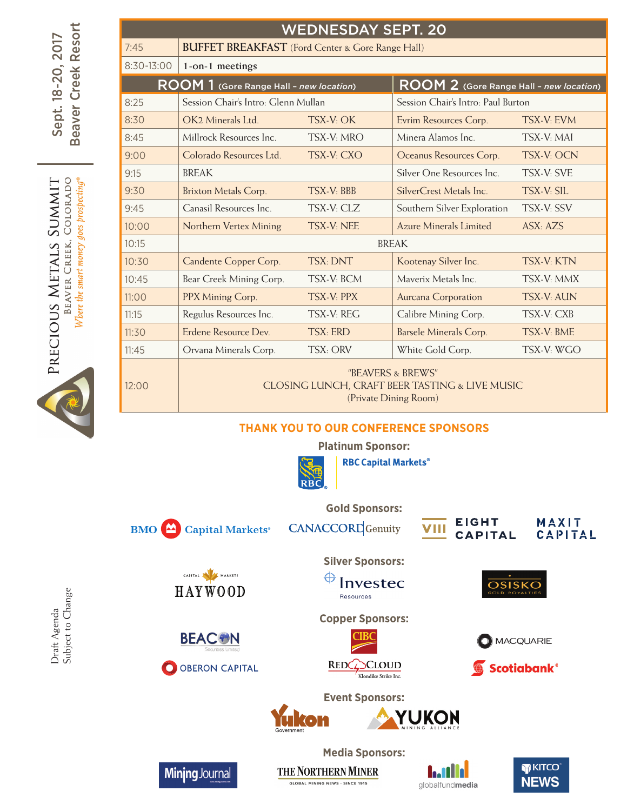|                                                                                | <b>WEDNESDAY SEPT. 20</b> |                                                                                              |                   |                                                |                                    |  |  |  |  |  |
|--------------------------------------------------------------------------------|---------------------------|----------------------------------------------------------------------------------------------|-------------------|------------------------------------------------|------------------------------------|--|--|--|--|--|
| Resort                                                                         | 7:45                      | <b>BUFFET BREAKFAST</b> (Ford Center & Gore Range Hall)                                      |                   |                                                |                                    |  |  |  |  |  |
|                                                                                | 8:30-13:00                | 1-on-1 meetings                                                                              |                   |                                                |                                    |  |  |  |  |  |
| Creek<br>$18 - 20$<br>eaver<br>Sept.                                           |                           | <b>ROOM</b> 1 (Gore Range Hall - new location)                                               |                   | <b>ROOM 2</b> (Gore Range Hall - new location) |                                    |  |  |  |  |  |
|                                                                                | 8:25                      | Session Chair's Intro: Glenn Mullan                                                          |                   |                                                | Session Chair's Intro: Paul Burton |  |  |  |  |  |
|                                                                                | 8:30                      | OK2 Minerals Ltd.                                                                            | TSX-V: OK         | Evrim Resources Corp.                          | TSX-V: EVM                         |  |  |  |  |  |
| മ                                                                              | 8:45                      | Millrock Resources Inc.                                                                      | TSX-V: MRO        | Minera Alamos Inc.                             | TSX-V: MAI                         |  |  |  |  |  |
|                                                                                | 9:00                      | Colorado Resources Ltd.                                                                      | TSX-V: CXO        | Oceanus Resources Corp.                        | <b>TSX-V: OCN</b>                  |  |  |  |  |  |
| goes prospecting<br>LORAD<br><b>NMNIS</b><br>Ü<br>money<br>щ<br>щ<br>$\approx$ | 9:15                      | <b>BREAK</b>                                                                                 |                   | Silver One Resources Inc.                      | <b>TSX-V: SVE</b>                  |  |  |  |  |  |
|                                                                                | 9:30                      | <b>Brixton Metals Corp.</b>                                                                  | <b>TSX-V: BBB</b> | SilverCrest Metals Inc.                        | <b>TSX-V: SIL</b>                  |  |  |  |  |  |
|                                                                                | 9:45                      | Canasil Resources Inc.                                                                       | TSX-V: CLZ        | Southern Silver Exploration                    | TSX-V: SSV                         |  |  |  |  |  |
|                                                                                | 10:00                     | Northern Vertex Mining                                                                       | TSX-V: NEE        | <b>Azure Minerals Limited</b>                  | ASX: AZS                           |  |  |  |  |  |
|                                                                                | 10:15                     |                                                                                              |                   | <b>BREAK</b>                                   |                                    |  |  |  |  |  |
|                                                                                | 10:30                     | Candente Copper Corp.                                                                        | TSX: DNT          | Kootenay Silver Inc.                           | TSX-V: KTN                         |  |  |  |  |  |
| smart                                                                          | 10:45                     | Bear Creek Mining Corp.                                                                      | TSX-V: BCM        | Maverix Metals Inc.                            | TSX-V: MMX                         |  |  |  |  |  |
| EAVER                                                                          | 11:00                     | PPX Mining Corp.                                                                             | <b>TSX-V: PPX</b> | Aurcana Corporation                            | <b>TSX-V: AUN</b>                  |  |  |  |  |  |
| Where the                                                                      | 11:15                     | Regulus Resources Inc.                                                                       | TSX-V: REG        | Calibre Mining Corp.                           | TSX-V: CXB                         |  |  |  |  |  |
| PRECIOUS                                                                       | 11:30                     | Erdene Resource Dev.                                                                         | <b>TSX: ERD</b>   | <b>Barsele Minerals Corp.</b>                  | TSX-V: BME                         |  |  |  |  |  |
|                                                                                | 11:45                     | Orvana Minerals Corp.                                                                        | TSX: ORV          | White Gold Corp.                               | TSX-V: WGO                         |  |  |  |  |  |
|                                                                                | 12:00                     | "BEAVERS & BREWS"<br>CLOSING LUNCH, CRAFT BEER TASTING & LIVE MUSIC<br>(Private Dining Room) |                   |                                                |                                    |  |  |  |  |  |

## **Thank You to our Conference Sponsors**



**Platinum Sponsor:** 



**RBC Capital Markets®** 



CAPITAL A MARKETS

**HAYWOOD** 

**BEAC®N** 

O OBERON CAPITAL

Minjng Journal

**Gold Sponsors: CANACCORD** Genuity



MAXIT<br>CAPITAL

**Silver Sponsors:** 



**Copper Sponsors:**





**OSISKO** 



**Event Sponsors:**

THE NORTHERN MINER

**GLOBAL MINING NEWS - SINCE 1915** 

YUKON **Media Sponsors:**





Draft Agenda<br>Subject to Change Subject to ChangeDraft Agenda